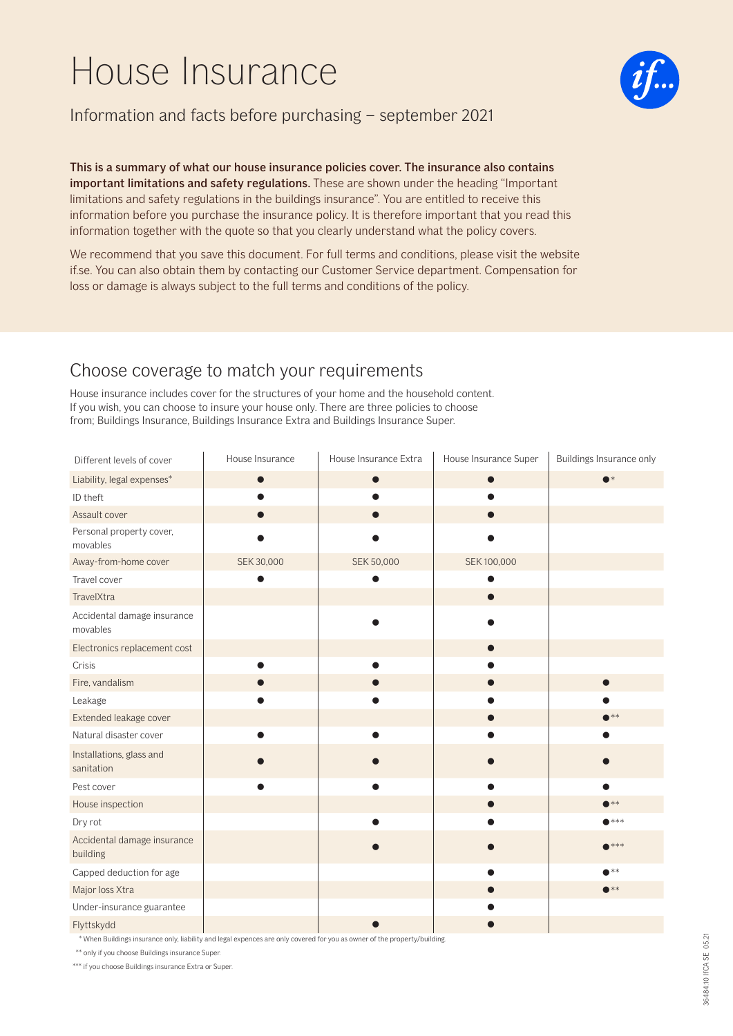# House Insurance



### Information and facts before purchasing – september 2021

This is a summary of what our house insurance policies cover. The insurance also contains important limitations and safety regulations. These are shown under the heading "Important limitations and safety regulations in the buildings insurance". You are entitled to receive this information before you purchase the insurance policy. It is therefore important that you read this information together with the quote so that you clearly understand what the policy covers.

We recommend that you save this document. For full terms and conditions, please visit the website if.se. You can also obtain them by contacting our Customer Service department. Compensation for loss or damage is always subject to the full terms and conditions of the policy.

## Choose coverage to match your requirements

House insurance includes cover for the structures of your home and the household content. If you wish, you can choose to insure your house only. There are three policies to choose from; Buildings Insurance, Buildings Insurance Extra and Buildings Insurance Super.

| Different levels of cover               | House Insurance | House Insurance Extra | House Insurance Super | Buildings Insurance only |
|-----------------------------------------|-----------------|-----------------------|-----------------------|--------------------------|
| Liability, legal expenses*              | $\bullet$       | $\bullet$             | $\bullet$             | $\bullet^*$              |
| ID theft                                |                 |                       |                       |                          |
| Assault cover                           |                 |                       |                       |                          |
| Personal property cover,<br>movables    |                 |                       |                       |                          |
| Away-from-home cover                    | SEK 30,000      | SEK 50,000            | SEK 100,000           |                          |
| Travel cover                            |                 |                       |                       |                          |
| TravelXtra                              |                 |                       |                       |                          |
| Accidental damage insurance<br>movables |                 |                       |                       |                          |
| Electronics replacement cost            |                 |                       | $\bullet$             |                          |
| Crisis                                  |                 |                       |                       |                          |
| Fire, vandalism                         |                 |                       | ●                     | $\bullet$                |
| Leakage                                 |                 |                       |                       |                          |
| Extended leakage cover                  |                 |                       | $\bullet$             | $\bullet$ **             |
| Natural disaster cover                  |                 |                       |                       |                          |
| Installations, glass and<br>sanitation  |                 |                       |                       |                          |
| Pest cover                              |                 |                       |                       | e                        |
| House inspection                        |                 |                       |                       | $\bullet$ **             |
| Dry rot                                 |                 |                       |                       | $\bullet$ ***            |
| Accidental damage insurance<br>building |                 |                       |                       | $****$                   |
| Capped deduction for age                |                 |                       | ●                     | $\bullet$ **             |
| Major loss Xtra                         |                 |                       | ●                     | $\bullet$ **             |
| Under-insurance guarantee               |                 |                       |                       |                          |
| Flyttskydd                              |                 |                       |                       |                          |

\* When Buildings insurance only, liability and legal expences are only covered for you as owner of the property/building.

\*\* only if you choose Buildings insurance Super.

\*\*\* if you choose Buildings insurance Extra or Super.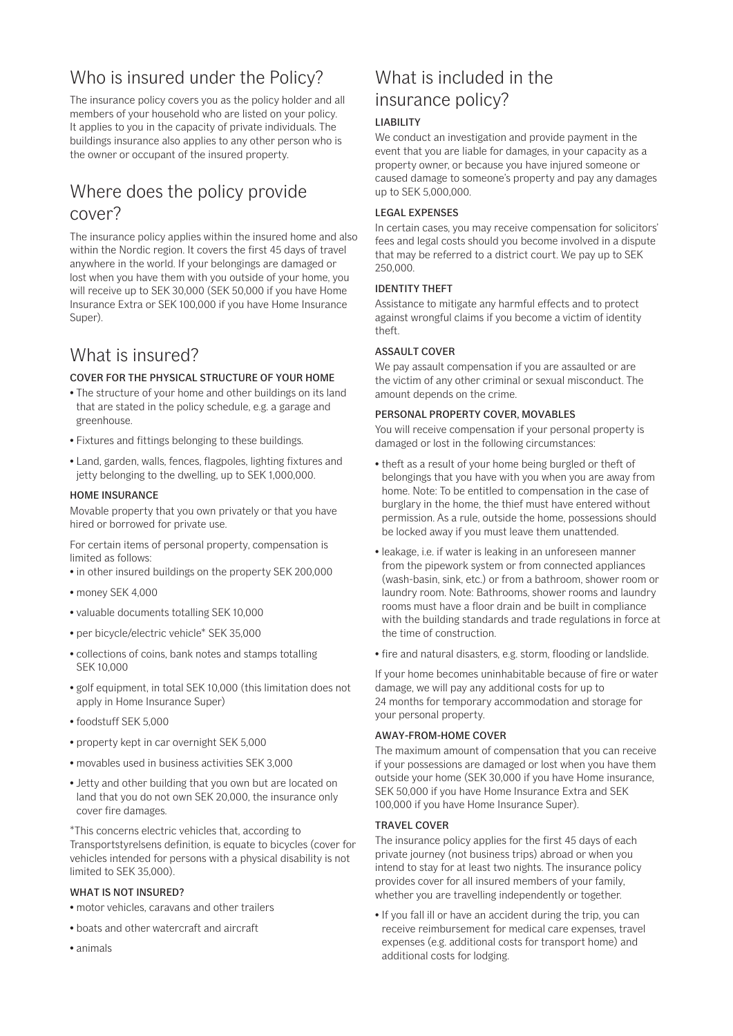# Who is insured under the Policy?

The insurance policy covers you as the policy holder and all members of your household who are listed on your policy. It applies to you in the capacity of private individuals. The buildings insurance also applies to any other person who is the owner or occupant of the insured property.

# Where does the policy provide cover?

The insurance policy applies within the insured home and also within the Nordic region. It covers the first 45 days of travel anywhere in the world. If your belongings are damaged or lost when you have them with you outside of your home, you will receive up to SEK 30,000 (SEK 50,000 if you have Home Insurance Extra or SEK 100,000 if you have Home Insurance Super).

# What is insured?

### COVER FOR THE PHYSICAL STRUCTURE OF YOUR HOME

- The structure of your home and other buildings on its land that are stated in the policy schedule, e.g. a garage and greenhouse.
- Fixtures and fittings belonging to these buildings.
- Land, garden, walls, fences, flagpoles, lighting fixtures and jetty belonging to the dwelling, up to SEK 1,000,000.

### HOME INSURANCE

Movable property that you own privately or that you have hired or borrowed for private use.

For certain items of personal property, compensation is limited as follows:

- in other insured buildings on the property SEK 200,000
- money SEK 4,000
- valuable documents totalling SEK 10,000
- per bicycle/electric vehicle\* SEK 35,000
- collections of coins, bank notes and stamps totalling SEK 10,000
- golf equipment, in total SEK 10,000 (this limitation does not apply in Home Insurance Super)
- foodstuff SEK 5,000
- property kept in car overnight SEK 5,000
- movables used in business activities SEK 3,000
- Jetty and other building that you own but are located on land that you do not own SEK 20,000, the insurance only cover fire damages.

\*This concerns electric vehicles that, according to Transportstyrelsens definition, is equate to bicycles (cover for vehicles intended for persons with a physical disability is not limited to SEK 35,000).

### WHAT IS NOT INSURED?

- motor vehicles, caravans and other trailers
- boats and other watercraft and aircraft
- animals

# What is included in the insurance policy?

### LIABILITY

We conduct an investigation and provide payment in the event that you are liable for damages, in your capacity as a property owner, or because you have injured someone or caused damage to someone's property and pay any damages up to SEK 5,000,000.

### LEGAL EXPENSES

In certain cases, you may receive compensation for solicitors' fees and legal costs should you become involved in a dispute that may be referred to a district court. We pay up to SEK 250,000.

### IDENTITY THEFT

Assistance to mitigate any harmful effects and to protect against wrongful claims if you become a victim of identity theft.

### ASSAULT COVER

We pay assault compensation if you are assaulted or are the victim of any other criminal or sexual misconduct. The amount depends on the crime.

### PERSONAL PROPERTY COVER, MOVABLES

You will receive compensation if your personal property is damaged or lost in the following circumstances:

- theft as a result of your home being burgled or theft of belongings that you have with you when you are away from home. Note: To be entitled to compensation in the case of burglary in the home, the thief must have entered without permission. As a rule, outside the home, possessions should be locked away if you must leave them unattended.
- leakage, i.e. if water is leaking in an unforeseen manner from the pipework system or from connected appliances (wash-basin, sink, etc.) or from a bathroom, shower room or laundry room. Note: Bathrooms, shower rooms and laundry rooms must have a floor drain and be built in compliance with the building standards and trade regulations in force at the time of construction.
- fire and natural disasters, e.g. storm, flooding or landslide.

If your home becomes uninhabitable because of fire or water damage, we will pay any additional costs for up to 24 months for temporary accommodation and storage for your personal property.

### AWAY-FROM-HOME COVER

The maximum amount of compensation that you can receive if your possessions are damaged or lost when you have them outside your home (SEK 30,000 if you have Home insurance, SEK 50,000 if you have Home Insurance Extra and SEK 100,000 if you have Home Insurance Super).

### TRAVEL COVER

The insurance policy applies for the first 45 days of each private journey (not business trips) abroad or when you intend to stay for at least two nights. The insurance policy provides cover for all insured members of your family, whether you are travelling independently or together.

• If you fall ill or have an accident during the trip, you can receive reimbursement for medical care expenses, travel expenses (e.g. additional costs for transport home) and additional costs for lodging.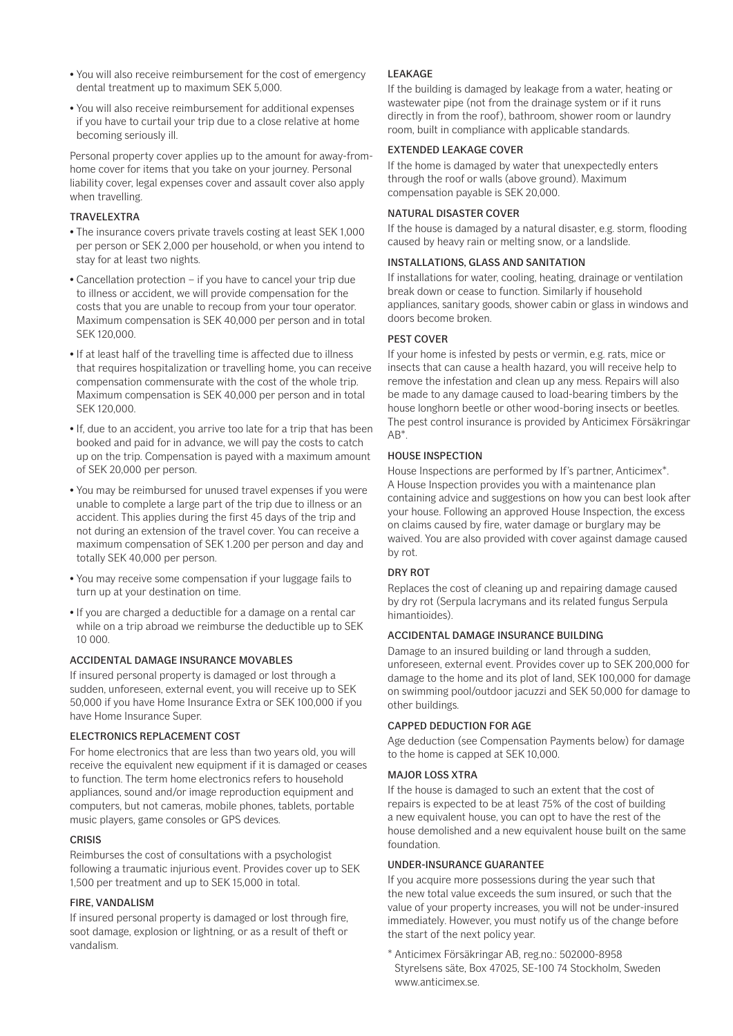- You will also receive reimbursement for the cost of emergency dental treatment up to maximum SEK 5,000.
- You will also receive reimbursement for additional expenses if you have to curtail your trip due to a close relative at home becoming seriously ill.

Personal property cover applies up to the amount for away-fromhome cover for items that you take on your journey. Personal liability cover, legal expenses cover and assault cover also apply when travelling.

### TRAVELEXTRA

- The insurance covers private travels costing at least SEK 1,000 per person or SEK 2,000 per household, or when you intend to stay for at least two nights.
- Cancellation protection if you have to cancel your trip due to illness or accident, we will provide compensation for the costs that you are unable to recoup from your tour operator. Maximum compensation is SEK 40,000 per person and in total SEK 120,000.
- If at least half of the travelling time is affected due to illness that requires hospitalization or travelling home, you can receive compensation commensurate with the cost of the whole trip. Maximum compensation is SEK 40,000 per person and in total SEK 120,000.
- If, due to an accident, you arrive too late for a trip that has been booked and paid for in advance, we will pay the costs to catch up on the trip. Compensation is payed with a maximum amount of SEK 20,000 per person.
- You may be reimbursed for unused travel expenses if you were unable to complete a large part of the trip due to illness or an accident. This applies during the first 45 days of the trip and not during an extension of the travel cover. You can receive a maximum compensation of SEK 1.200 per person and day and totally SEK 40,000 per person.
- You may receive some compensation if your luggage fails to turn up at your destination on time.
- If you are charged a deductible for a damage on a rental car while on a trip abroad we reimburse the deductible up to SEK 10 000.

### ACCIDENTAL DAMAGE INSURANCE MOVABLES

If insured personal property is damaged or lost through a sudden, unforeseen, external event, you will receive up to SEK 50,000 if you have Home Insurance Extra or SEK 100,000 if you have Home Insurance Super.

### ELECTRONICS REPLACEMENT COST

For home electronics that are less than two years old, you will receive the equivalent new equipment if it is damaged or ceases to function. The term home electronics refers to household appliances, sound and/or image reproduction equipment and computers, but not cameras, mobile phones, tablets, portable music players, game consoles or GPS devices.

### CRISIS

Reimburses the cost of consultations with a psychologist following a traumatic injurious event. Provides cover up to SEK 1,500 per treatment and up to SEK 15,000 in total.

### FIRE, VANDALISM

If insured personal property is damaged or lost through fire, soot damage, explosion or lightning, or as a result of theft or vandalism.

### **LEAKAGE**

If the building is damaged by leakage from a water, heating or wastewater pipe (not from the drainage system or if it runs directly in from the roof), bathroom, shower room or laundry room, built in compliance with applicable standards.

### EXTENDED LEAKAGE COVER

If the home is damaged by water that unexpectedly enters through the roof or walls (above ground). Maximum compensation payable is SEK 20,000.

### NATURAL DISASTER COVER

If the house is damaged by a natural disaster, e.g. storm, flooding caused by heavy rain or melting snow, or a landslide.

### INSTALLATIONS, GLASS AND SANITATION

If installations for water, cooling, heating, drainage or ventilation break down or cease to function. Similarly if household appliances, sanitary goods, shower cabin or glass in windows and doors become broken.

### PEST COVER

If your home is infested by pests or vermin, e.g. rats, mice or insects that can cause a health hazard, you will receive help to remove the infestation and clean up any mess. Repairs will also be made to any damage caused to load-bearing timbers by the house longhorn beetle or other wood-boring insects or beetles. The pest control insurance is provided by Anticimex Försäkringar  $AR^*$ 

### HOUSE INSPECTION

House Inspections are performed by If's partner, Anticimex\*. A House Inspection provides you with a maintenance plan containing advice and suggestions on how you can best look after your house. Following an approved House Inspection, the excess on claims caused by fire, water damage or burglary may be waived. You are also provided with cover against damage caused by rot.

### DRY ROT

Replaces the cost of cleaning up and repairing damage caused by dry rot (Serpula lacrymans and its related fungus Serpula himantioides).

### ACCIDENTAL DAMAGE INSURANCE BUILDING

Damage to an insured building or land through a sudden, unforeseen, external event. Provides cover up to SEK 200,000 for damage to the home and its plot of land, SEK 100,000 for damage on swimming pool/outdoor jacuzzi and SEK 50,000 for damage to other buildings.

### CAPPED DEDUCTION FOR AGE

Age deduction (see Compensation Payments below) for damage to the home is capped at SEK 10,000.

### MAJOR LOSS XTRA

If the house is damaged to such an extent that the cost of repairs is expected to be at least 75% of the cost of building a new equivalent house, you can opt to have the rest of the house demolished and a new equivalent house built on the same foundation.

### UNDER-INSURANCE GUARANTEE

If you acquire more possessions during the year such that the new total value exceeds the sum insured, or such that the value of your property increases, you will not be under-insured immediately. However, you must notify us of the change before the start of the next policy year.

\* Anticimex Försäkringar AB, reg.no.: 502000-8958 Styrelsens säte, Box 47025, SE-100 74 Stockholm, Sweden www.anticimex.se.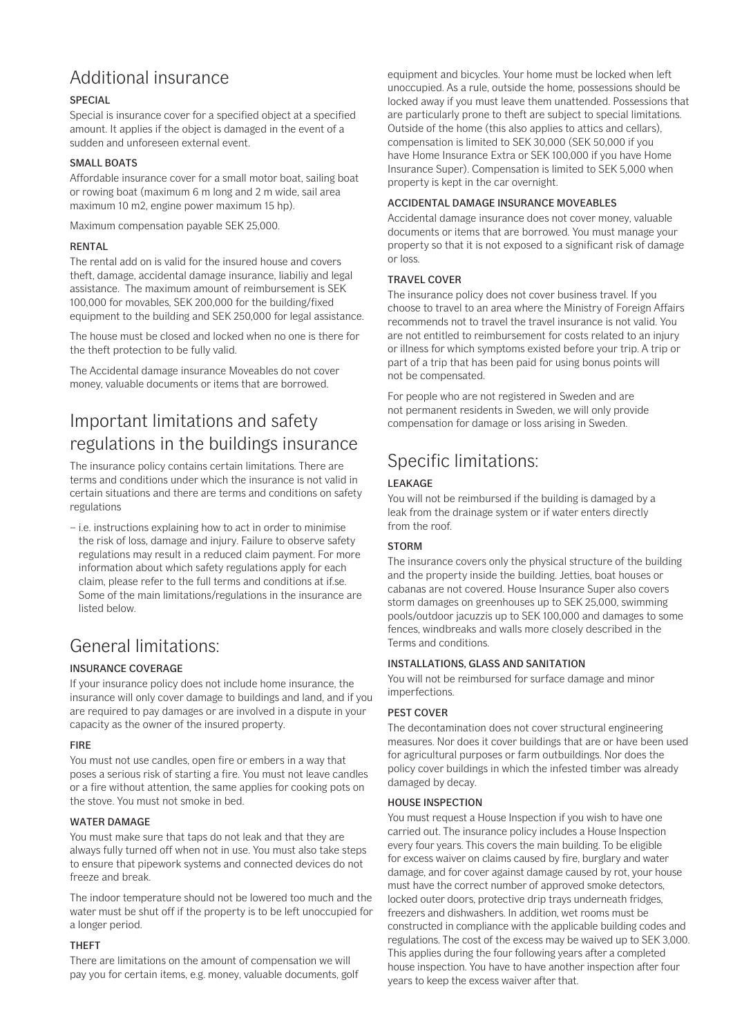# Additional insurance

### SPECIAL

Special is insurance cover for a specified object at a specified amount. It applies if the object is damaged in the event of a sudden and unforeseen external event.

### SMALL BOATS

Affordable insurance cover for a small motor boat, sailing boat or rowing boat (maximum 6 m long and 2 m wide, sail area maximum 10 m2, engine power maximum 15 hp).

Maximum compensation payable SEK 25,000.

### **RENTAL**

The rental add on is valid for the insured house and covers theft, damage, accidental damage insurance, liabiliy and legal assistance. The maximum amount of reimbursement is SEK 100,000 for movables, SEK 200,000 for the building/fixed equipment to the building and SEK 250,000 for legal assistance.

The house must be closed and locked when no one is there for the theft protection to be fully valid.

The Accidental damage insurance Moveables do not cover money, valuable documents or items that are borrowed.

# Important limitations and safety regulations in the buildings insurance

The insurance policy contains certain limitations. There are terms and conditions under which the insurance is not valid in certain situations and there are terms and conditions on safety regulations

– i.e. instructions explaining how to act in order to minimise the risk of loss, damage and injury. Failure to observe safety regulations may result in a reduced claim payment. For more information about which safety regulations apply for each claim, please refer to the full terms and conditions at if.se. Some of the main limitations/regulations in the insurance are listed below.

# General limitations:

### INSURANCE COVERAGE

If your insurance policy does not include home insurance, the insurance will only cover damage to buildings and land, and if you are required to pay damages or are involved in a dispute in your capacity as the owner of the insured property.

### FIRE

You must not use candles, open fire or embers in a way that poses a serious risk of starting a fire. You must not leave candles or a fire without attention, the same applies for cooking pots on the stove. You must not smoke in bed.

### WATER DAMAGE

You must make sure that taps do not leak and that they are always fully turned off when not in use. You must also take steps to ensure that pipework systems and connected devices do not freeze and break.

The indoor temperature should not be lowered too much and the water must be shut off if the property is to be left unoccupied for a longer period.

### THEFT

There are limitations on the amount of compensation we will pay you for certain items, e.g. money, valuable documents, golf

equipment and bicycles. Your home must be locked when left unoccupied. As a rule, outside the home, possessions should be locked away if you must leave them unattended. Possessions that are particularly prone to theft are subject to special limitations. Outside of the home (this also applies to attics and cellars), compensation is limited to SEK 30,000 (SEK 50,000 if you have Home Insurance Extra or SEK 100,000 if you have Home Insurance Super). Compensation is limited to SEK 5,000 when property is kept in the car overnight.

### ACCIDENTAL DAMAGE INSURANCE MOVEABLES

Accidental damage insurance does not cover money, valuable documents or items that are borrowed. You must manage your property so that it is not exposed to a significant risk of damage or loss.

### TRAVEL COVER

The insurance policy does not cover business travel. If you choose to travel to an area where the Ministry of Foreign Affairs recommends not to travel the travel insurance is not valid. You are not entitled to reimbursement for costs related to an injury or illness for which symptoms existed before your trip. A trip or part of a trip that has been paid for using bonus points will not be compensated.

For people who are not registered in Sweden and are not permanent residents in Sweden, we will only provide compensation for damage or loss arising in Sweden.

# Specific limitations:

### LEAKAGE

You will not be reimbursed if the building is damaged by a leak from the drainage system or if water enters directly from the roof.

### STORM

The insurance covers only the physical structure of the building and the property inside the building. Jetties, boat houses or cabanas are not covered. House Insurance Super also covers storm damages on greenhouses up to SEK 25,000, swimming pools/outdoor jacuzzis up to SEK 100,000 and damages to some fences, windbreaks and walls more closely described in the Terms and conditions.

### INSTALLATIONS, GLASS AND SANITATION

You will not be reimbursed for surface damage and minor imperfections.

### PEST COVER

The decontamination does not cover structural engineering measures. Nor does it cover buildings that are or have been used for agricultural purposes or farm outbuildings. Nor does the policy cover buildings in which the infested timber was already damaged by decay.

### HOUSE INSPECTION

You must request a House Inspection if you wish to have one carried out. The insurance policy includes a House Inspection every four years. This covers the main building. To be eligible for excess waiver on claims caused by fire, burglary and water damage, and for cover against damage caused by rot, your house must have the correct number of approved smoke detectors, locked outer doors, protective drip trays underneath fridges, freezers and dishwashers. In addition, wet rooms must be constructed in compliance with the applicable building codes and regulations. The cost of the excess may be waived up to SEK 3,000. This applies during the four following years after a completed house inspection. You have to have another inspection after four years to keep the excess waiver after that.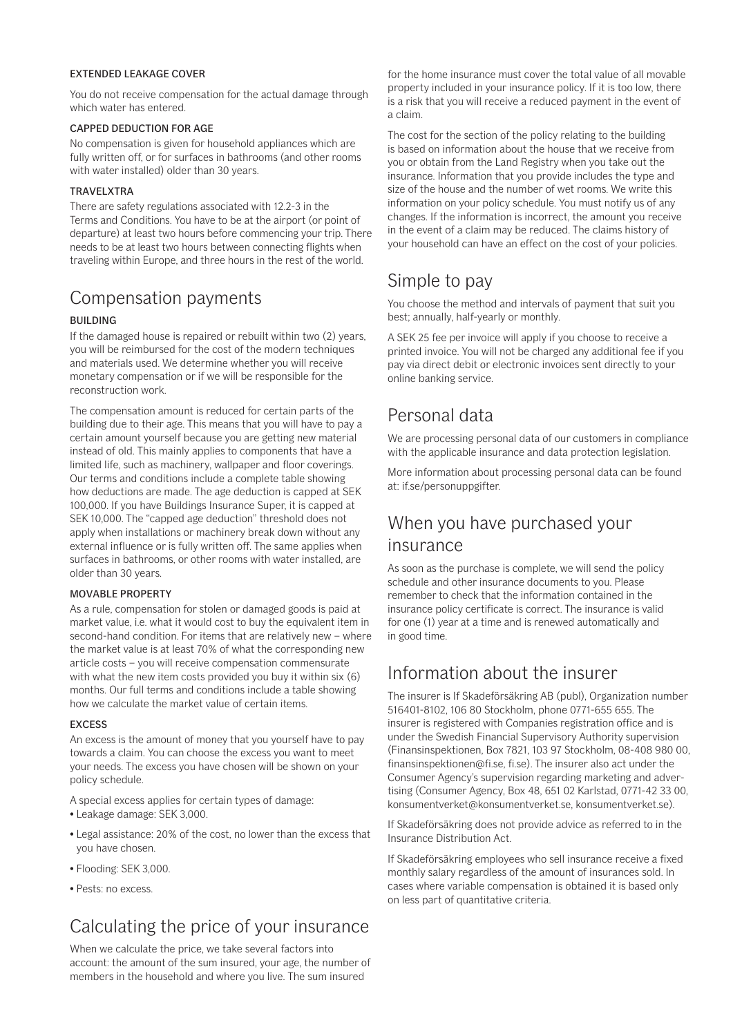### EXTENDED LEAKAGE COVER

You do not receive compensation for the actual damage through which water has entered.

### CAPPED DEDUCTION FOR AGE

No compensation is given for household appliances which are fully written off, or for surfaces in bathrooms (and other rooms with water installed) older than 30 years.

### TRAVELXTRA

There are safety regulations associated with 12.2-3 in the Terms and Conditions. You have to be at the airport (or point of departure) at least two hours before commencing your trip. There needs to be at least two hours between connecting flights when traveling within Europe, and three hours in the rest of the world.

# Compensation payments

### BUILDING

If the damaged house is repaired or rebuilt within two (2) years, you will be reimbursed for the cost of the modern techniques and materials used. We determine whether you will receive monetary compensation or if we will be responsible for the reconstruction work.

The compensation amount is reduced for certain parts of the building due to their age. This means that you will have to pay a certain amount yourself because you are getting new material instead of old. This mainly applies to components that have a limited life, such as machinery, wallpaper and floor coverings. Our terms and conditions include a complete table showing how deductions are made. The age deduction is capped at SEK 100,000. If you have Buildings Insurance Super, it is capped at SEK 10,000. The "capped age deduction" threshold does not apply when installations or machinery break down without any external influence or is fully written off. The same applies when surfaces in bathrooms, or other rooms with water installed, are older than 30 years.

### MOVABLE PROPERTY

As a rule, compensation for stolen or damaged goods is paid at market value, i.e. what it would cost to buy the equivalent item in second-hand condition. For items that are relatively new – where the market value is at least 70% of what the corresponding new article costs – you will receive compensation commensurate with what the new item costs provided you buy it within six (6) months. Our full terms and conditions include a table showing how we calculate the market value of certain items.

### EXCESS

An excess is the amount of money that you yourself have to pay towards a claim. You can choose the excess you want to meet your needs. The excess you have chosen will be shown on your policy schedule.

A special excess applies for certain types of damage:

- Leakage damage: SEK 3,000.
- Legal assistance: 20% of the cost, no lower than the excess that you have chosen.
- Flooding: SEK 3,000.
- Pests: no excess.

# Calculating the price of your insurance

When we calculate the price, we take several factors into account: the amount of the sum insured, your age, the number of members in the household and where you live. The sum insured

for the home insurance must cover the total value of all movable property included in your insurance policy. If it is too low, there is a risk that you will receive a reduced payment in the event of a claim.

The cost for the section of the policy relating to the building is based on information about the house that we receive from you or obtain from the Land Registry when you take out the insurance. Information that you provide includes the type and size of the house and the number of wet rooms. We write this information on your policy schedule. You must notify us of any changes. If the information is incorrect, the amount you receive in the event of a claim may be reduced. The claims history of your household can have an effect on the cost of your policies.

# Simple to pay

You choose the method and intervals of payment that suit you best; annually, half-yearly or monthly.

A SEK 25 fee per invoice will apply if you choose to receive a printed invoice. You will not be charged any additional fee if you pay via direct debit or electronic invoices sent directly to your online banking service.

# Personal data

We are processing personal data of our customers in compliance with the applicable insurance and data protection legislation.

More information about processing personal data can be found at: if.se/personuppgifter.

## When you have purchased your insurance

As soon as the purchase is complete, we will send the policy schedule and other insurance documents to you. Please remember to check that the information contained in the insurance policy certificate is correct. The insurance is valid for one (1) year at a time and is renewed automatically and in good time.

# Information about the insurer

The insurer is If Skadeförsäkring AB (publ), Organization number 516401-8102, 106 80 Stockholm, phone 0771-655 655. The insurer is registered with Companies registration office and is under the Swedish Financial Supervisory Authority supervision (Finansinspektionen, Box 7821, 103 97 Stockholm, 08-408 980 00, finansinspektionen@fi.se, fi.se). The insurer also act under the Consumer Agency's supervision regarding marketing and advertising (Consumer Agency, Box 48, 651 02 Karlstad, 0771-42 33 00, konsumentverket@konsumentverket.se, konsumentverket.se).

If Skadeförsäkring does not provide advice as referred to in the Insurance Distribution Act.

If Skadeförsäkring employees who sell insurance receive a fixed monthly salary regardless of the amount of insurances sold. In cases where variable compensation is obtained it is based only on less part of quantitative criteria.